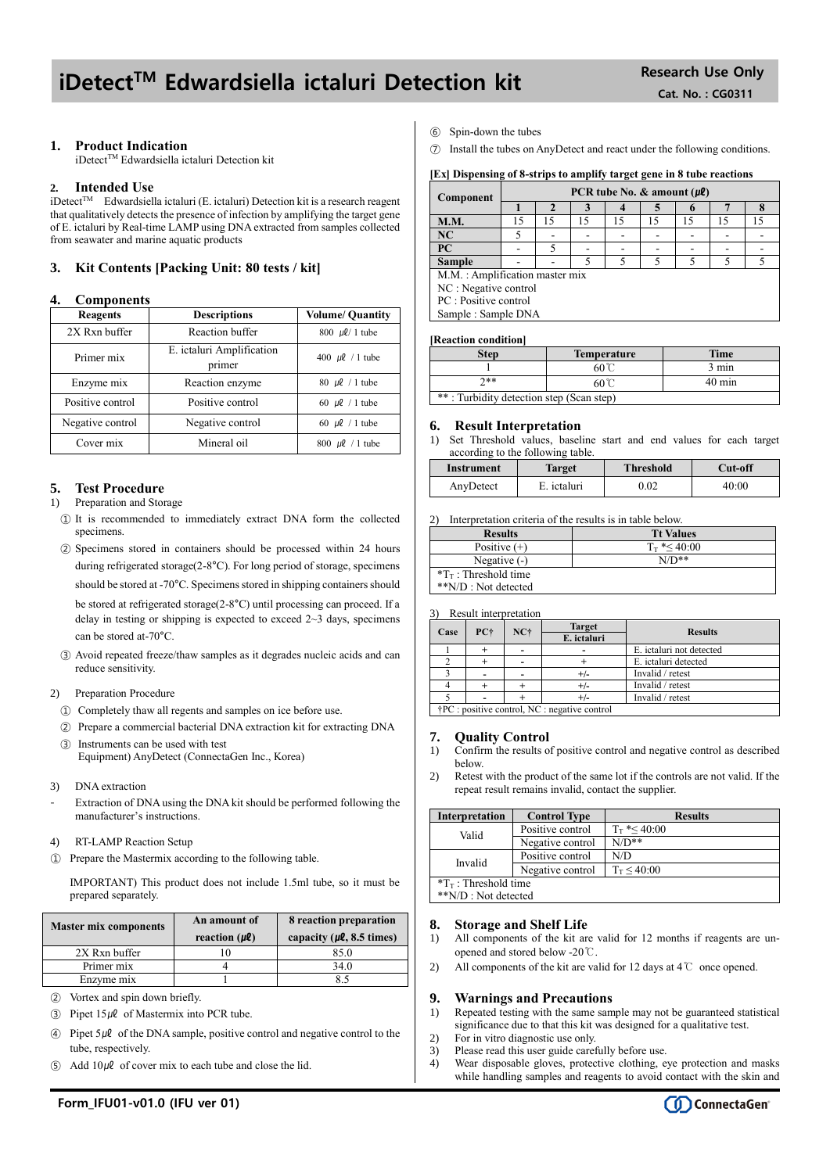# iDetect<sup>TM</sup> Edwardsiella ictaluri Detection kit Research Use Only

# **1. Product Indication**

iDetect™ Edwardsiella ictaluri Detection kit

# **2. Intended Use**

 $i$ Detect<sup>TM</sup> Edwardsiella ictaluri (E. ictaluri) Detection kit is a research reagent that qualitatively detects the presence of infection by amplifying the target gene of E. ictaluri by Real-time LAMP using DNA extracted from samples collected from seawater and marine aquatic products

# **3. Kit Contents [Packing Unit: 80 tests / kit]**

# **4. Components**

| Reagents         | <b>Descriptions</b>                 | <b>Volume/ Quantity</b>           |
|------------------|-------------------------------------|-----------------------------------|
| 2X Rxn buffer    | Reaction buffer                     | $800 \, \mu\ell/1$ tube           |
| Primer mix       | E. ictaluri Amplification<br>primer | 400 $\mu$ l / 1 tube              |
| Enzyme mix       | Reaction enzyme                     | 80 $\mu$ l / 1 tube               |
| Positive control | Positive control                    | 60 $\mu$ l / 1 tube               |
| Negative control | Negative control                    | 60 $\mu$ l / 1 tube               |
| Cover mix        | Mineral oil                         | $800 \text{ }\mu\text{}$ / 1 tube |

# **5. Test Procedure**

#### 1) Preparation and Storage

- ① It is recommended to immediately extract DNA form the collected specimens.
- ② Specimens stored in containers should be processed within 24 hours during refrigerated storage(2-8°C). For long period of storage, specimens should be stored at -70°C. Specimens stored in shipping containers should be stored at refrigerated storage(2-8°C) until processing can proceed. If a delay in testing or shipping is expected to exceed  $2 \sim 3$  days, specimens can be stored at-70°C.
- ③ Avoid repeated freeze/thaw samples as it degrades nucleic acids and can reduce sensitivity.

# 2) Preparation Procedure

- ① Completely thaw all regents and samples on ice before use.
- ② Prepare a commercial bacterial DNA extraction kit for extracting DNA ③ Instruments can be used with test

Equipment) AnyDetect (ConnectaGen Inc., Korea)

- 3) DNA extraction
- Extraction of DNA using the DNA kit should be performed following the manufacturer's instructions.
- 4) RT-LAMP Reaction Setup
- ① Prepare the Mastermix according to the following table.

IMPORTANT) This product does not include 1.5ml tube, so it must be prepared separately.

| <b>Master mix components</b> | An amount of<br>reaction $(\mu\ell)$ | 8 reaction preparation<br>capacity ( $\mu$ <b>l</b> , 8.5 times) |  |
|------------------------------|--------------------------------------|------------------------------------------------------------------|--|
| 2X Rxn buffer                |                                      | 85.0                                                             |  |
| Primer mix                   |                                      | 34.0                                                             |  |
| Enzyme mix                   |                                      |                                                                  |  |

- ② Vortex and spin down briefly.
- $\textcircled{3}$  Pipet 15µl of Mastermix into PCR tube.
- $\widehat{A}$  Pipet 5µl of the DNA sample, positive control and negative control to the tube, respectively.
- Add  $10\mu\ell$  of cover mix to each tube and close the lid.
- ⑥ Spin-down the tubes
- ⑦ Install the tubes on AnyDetect and react under the following conditions.

#### **[Ex] Dispensing of 8-strips to amplify target gene in 8 tube reactions**

| Component                      | PCR tube No. $\&$ amount ( $\mu$ <i>l</i> ) |    |    |    |    |    |    |    |
|--------------------------------|---------------------------------------------|----|----|----|----|----|----|----|
|                                |                                             |    |    |    |    |    |    |    |
| <b>M.M.</b>                    | 15                                          | 15 | 15 | 15 | 15 | 15 | 15 | 15 |
| NC                             |                                             |    |    |    |    |    |    |    |
| PC                             |                                             |    |    |    |    |    |    |    |
| <b>Sample</b>                  |                                             |    |    |    |    |    |    |    |
| M.M.: Amplification master mix |                                             |    |    |    |    |    |    |    |
| NC : Negative control          |                                             |    |    |    |    |    |    |    |
| PC : Positive control          |                                             |    |    |    |    |    |    |    |
| Sample: Sample DNA             |                                             |    |    |    |    |    |    |    |

#### **[Reaction condition]**

| Step                                     | <b>Temperature</b> | <b>Time</b>      |  |
|------------------------------------------|--------------------|------------------|--|
|                                          | $60^{\circ}$       | 3 min            |  |
| ን**                                      | 60℃                | $40 \text{ min}$ |  |
| **: Turbidity detection step (Scan step) |                    |                  |  |

# **6. Result Interpretation**

1) Set Threshold values, baseline start and end values for each target according to the following table.

| Instrument | <b>Target</b> | <b>Threshold</b> | Cut-off |
|------------|---------------|------------------|---------|
| AnyDetect  | E. ictaluri   | 0.02             | 40:00   |

2) Interpretation criteria of the results is in table below.

| <b>Results</b>                  | <b>Tt Values</b>     |
|---------------------------------|----------------------|
| Positive $(+)$                  | $T_{\rm T}$ *< 40:00 |
| Negative $(-)$                  | $N/D**$              |
| $T_{\text{T}}$ : Threshold time |                      |
| **N/D : Not detected            |                      |

3) Result interpretation

| Case | PC+                                                    | $NC+$ | <b>Target</b><br>E. ictaluri | <b>Results</b>           |
|------|--------------------------------------------------------|-------|------------------------------|--------------------------|
|      |                                                        |       |                              |                          |
|      |                                                        |       |                              | E. ictaluri not detected |
|      |                                                        |       |                              | E. ictaluri detected     |
|      |                                                        |       |                              | Invalid / retest         |
|      |                                                        |       |                              | Invalid / retest         |
|      |                                                        |       |                              | Invalid / retest         |
|      | $\dagger$ PC : positive control, NC : negative control |       |                              |                          |

# **7. Quality Control**

- 1) Confirm the results of positive control and negative control as described below.
- 2) Retest with the product of the same lot if the controls are not valid. If the repeat result remains invalid, contact the supplier.

| <b>Interpretation</b>           | <b>Control Type</b> | <b>Results</b>       |  |  |
|---------------------------------|---------------------|----------------------|--|--|
| Valid                           | Positive control    | $T_{\rm T}$ *< 40:00 |  |  |
|                                 | Negative control    | $N/D**$              |  |  |
| Invalid                         | Positive control    | N/D                  |  |  |
|                                 | Negative control    | $T_T < 40:00$        |  |  |
| $T_{\text{T}}$ : Threshold time |                     |                      |  |  |
| **N/D : Not detected            |                     |                      |  |  |

# **8. Storage and Shelf Life**

- 1) All components of the kit are valid for 12 months if reagents are unopened and stored below -20℃.
- 2) All components of the kit are valid for 12 days at 4  $\mathbb C$  once opened.

# **9. Warnings and Precautions**

- 1) Repeated testing with the same sample may not be guaranteed statistical significance due to that this kit was designed for a qualitative test.
- 2) For in vitro diagnostic use only.
- 3) Please read this user guide carefully before use.
- 4) Wear disposable gloves, protective clothing, eye protection and masks while handling samples and reagents to avoid contact with the skin and